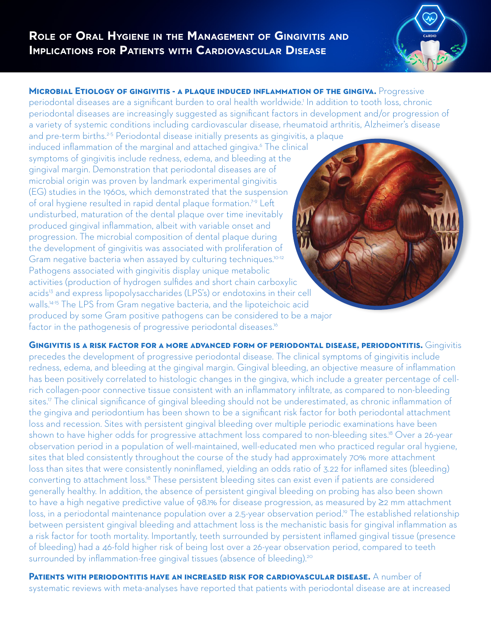

**MICROBIAL ETIOLOGY OF GINGIVITIS - A PLAQUE INDUCED INFLAMMATION OF THE GINGIVA.** Progressive periodontal diseases are a significant burden to oral health worldwide.<sup>1</sup> In addition to tooth loss, chronic periodontal diseases are increasingly suggested as significant factors in development and/or progression of a variety of systemic conditions including cardiovascular disease, rheumatoid arthritis, Alzheimer's disease and pre-term births.<sup>2-5</sup> Periodontal disease initially presents as gingivitis, a plaque

induced inflammation of the marginal and attached gingiva.<sup>6</sup> The clinical symptoms of gingivitis include redness, edema, and bleeding at the gingival margin. Demonstration that periodontal diseases are of microbial origin was proven by landmark experimental gingivitis (EG) studies in the 1960s, which demonstrated that the suspension of oral hygiene resulted in rapid dental plaque formation.7-9 Left undisturbed, maturation of the dental plaque over time inevitably produced gingival inflammation, albeit with variable onset and progression. The microbial composition of dental plaque during the development of gingivitis was associated with proliferation of Gram negative bacteria when assayed by culturing techniques.<sup>10-12</sup> Pathogens associated with gingivitis display unique metabolic activities (production of hydrogen sulfides and short chain carboxylic acids<sup>13</sup> and express lipopolysaccharides (LPS's) or endotoxins in their cell walls.<sup>14-15</sup> The LPS from Gram negative bacteria, and the lipoteichoic acid produced by some Gram positive pathogens can be considered to be a major factor in the pathogenesis of progressive periodontal diseases.<sup>16</sup>

**GINGIVITIS IS A RISK FACTOR FOR A MORE ADVANCED FORM OF PERIODONTAL DISEASE, PERIODONTITIS.** Gingivitis precedes the development of progressive periodontal disease. The clinical symptoms of gingivitis include redness, edema, and bleeding at the gingival margin. Gingival bleeding, an objective measure of inflammation has been positively correlated to histologic changes in the gingiva, which include a greater percentage of cellrich collagen-poor connective tissue consistent with an inflammatory infiltrate, as compared to non-bleeding sites.<sup>17</sup> The clinical significance of gingival bleeding should not be underestimated, as chronic inflammation of the gingiva and periodontium has been shown to be a significant risk factor for both periodontal attachment loss and recession. Sites with persistent gingival bleeding over multiple periodic examinations have been shown to have higher odds for progressive attachment loss compared to non-bleeding sites.<sup>18</sup> Over a 26-year observation period in a population of well-maintained, well-educated men who practiced regular oral hygiene, sites that bled consistently throughout the course of the study had approximately 70% more attachment loss than sites that were consistently noninflamed, yielding an odds ratio of 3.22 for inflamed sites (bleeding) converting to attachment loss.18 These persistent bleeding sites can exist even if patients are considered generally healthy. In addition, the absence of persistent gingival bleeding on probing has also been shown to have a high negative predictive value of 98.1% for disease progression, as measured by ≥2 mm attachment loss, in a periodontal maintenance population over a 2.5-year observation period.19 The established relationship between persistent gingival bleeding and attachment loss is the mechanistic basis for gingival inflammation as a risk factor for tooth mortality. Importantly, teeth surrounded by persistent inflamed gingival tissue (presence of bleeding) had a 46-fold higher risk of being lost over a 26-year observation period, compared to teeth surrounded by inflammation-free gingival tissues (absence of bleeding).<sup>20</sup>

**Patients with periodontitis have an increased risk for cardiovascular disease.** A number of systematic reviews with meta-analyses have reported that patients with periodontal disease are at increased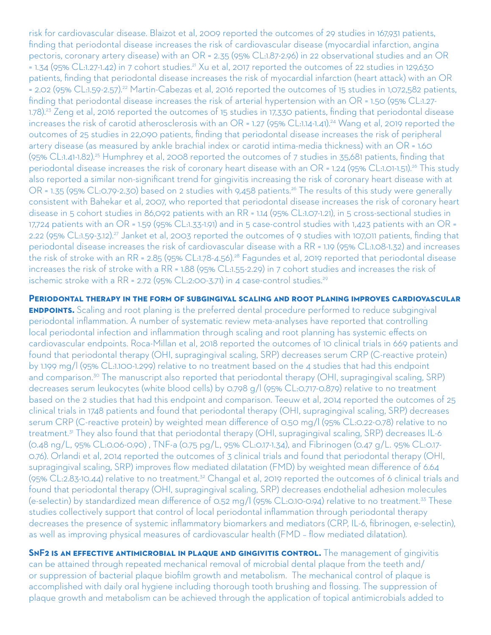risk for cardiovascular disease. Blaizot et al, 2009 reported the outcomes of 29 studies in 167,931 patients, finding that periodontal disease increases the risk of cardiovascular disease (myocardial infarction, angina pectoris, coronary artery disease) with an OR = 2.35 (95% CL:1.87-2.96) in 22 observational studies and an OR = 1.34 (95% CL:1.27-1.42) in 7 cohort studies.21 Xu et al, 2017 reported the outcomes of 22 studies in 129,630 patients, finding that periodontal disease increases the risk of myocardial infarction (heart attack) with an OR = 2.02 (95% CL:1.59-2.57).22 Martin-Cabezas et al, 2016 reported the outcomes of 15 studies in 1,072,582 patients, finding that periodontal disease increases the risk of arterial hypertension with an OR = 1.50 (95% CL:1.27- 1.78).23 Zeng et al, 2016 reported the outcomes of 15 studies in 17,330 patients, finding that periodontal disease increases the risk of carotid atherosclerosis with an OR = 1.27 (95% CL:1.14-1.41).<sup>24</sup> Wang et al, 2019 reported the outcomes of 25 studies in 22,090 patients, finding that periodontal disease increases the risk of peripheral artery disease (as measured by ankle brachial index or carotid intima-media thickness) with an OR = 1.60 (95% CL:1.41-1.82).25 Humphrey et al, 2008 reported the outcomes of 7 studies in 35,681 patients, finding that periodontal disease increases the risk of coronary heart disease with an OR = 1.24 (95% CL:1.01-1.51).<sup>26</sup> This study also reported a similar non-significant trend for gingivitis increasing the risk of coronary heart disease with at OR = 1.35 (95% CL:0.79-2.30) based on 2 studies with 9,458 patients.26 The results of this study were generally consistent with Bahekar et al, 2007, who reported that periodontal disease increases the risk of coronary heart disease in 5 cohort studies in 86,092 patients with an RR = 1.14 (95% CL:1.07-1.21), in 5 cross-sectional studies in 17,724 patients with an OR = 1.59 (95% CL:1.33-1.91) and in 5 case-control studies with 1,423 patients with an OR = 2.22 (95% CL:1.59-3.12).27 Janket et al, 2003 reported the outcomes of 9 studies with 107,011 patients, finding that periodontal disease increases the risk of cardiovascular disease with a RR = 1.19 (95% CL:1.08-1.32) and increases the risk of stroke with an RR = 2.85 (95% CL:1.78-4.56).<sup>28</sup> Fagundes et al, 2019 reported that periodontal disease increases the risk of stroke with a RR = 1.88 (95% CL:1.55-2.29) in 7 cohort studies and increases the risk of ischemic stroke with a RR = 2.72 (95% CL:2:00-3.71) in 4 case-control studies.<sup>29</sup>

**Periodontal therapy in the form of subgingival scaling and root planing improves cardiovascular ENDPOINTS.** Scaling and root planing is the preferred dental procedure performed to reduce subgingival periodontal inflammation. A number of systematic review meta-analyses have reported that controlling local periodontal infection and inflammation through scaling and root planning has systemic effects on cardiovascular endpoints. Roca-Millan et al, 2018 reported the outcomes of 10 clinical trials in 669 patients and found that periodontal therapy (OHI, supragingival scaling, SRP) decreases serum CRP (C-reactive protein) by 1.199 mg/l (95% CL:1.100-1.299) relative to no treatment based on the 4 studies that had this endpoint and comparison.<sup>30</sup> The manuscript also reported that periodontal therapy (OHI, supragingival scaling, SRP) decreases serum leukocytes (white blood cells) by 0.798 g/l (95% CL:0.717-0.879) relative to no treatment based on the 2 studies that had this endpoint and comparison. Teeuw et al, 2014 reported the outcomes of 25 clinical trials in 1748 patients and found that periodontal therapy (OHI, supragingival scaling, SRP) decreases serum CRP (C-reactive protein) by weighted mean difference of 0.50 mg/l (95% CL:0.22-0.78) relative to no treatment.<sup>31</sup> They also found that that periodontal therapy (OHI, supragingival scaling, SRP) decreases IL-6 (0.48 ng/L, 95% CL:0.06-0.90) , TNF-a (0.75 pg/L, 95% CL:0.17-1.34), and Fibrinogen (0.47 g/L. 95% CL:0.17- 0.76). Orlandi et al, 2014 reported the outcomes of 3 clinical trials and found that periodontal therapy (OHI, supragingival scaling, SRP) improves flow mediated dilatation (FMD) by weighted mean difference of 6.64 (95% CL:2.83-10.44) relative to no treatment.32 Changal et al, 2019 reported the outcomes of 6 clinical trials and found that periodontal therapy (OHI, supragingival scaling, SRP) decreases endothelial adhesion molecules (e-selectin) by standardized mean difference of 0.52 mg/l (95% CL:0.10-0.94) relative to no treatment.33 These studies collectively support that control of local periodontal inflammation through periodontal therapy decreases the presence of systemic inflammatory biomarkers and mediators (CRP, IL-6, fibrinogen, e-selectin), as well as improving physical measures of cardiovascular health (FMD – flow mediated dilatation).

**SNF2 IS AN EFFECTIVE ANTIMICROBIAL IN PLAQUE AND GINGIVITIS CONTROL.** The management of gingivitis can be attained through repeated mechanical removal of microbial dental plaque from the teeth and/ or suppression of bacterial plaque biofilm growth and metabolism. The mechanical control of plaque is accomplished with daily oral hygiene including thorough tooth brushing and flossing. The suppression of plaque growth and metabolism can be achieved through the application of topical antimicrobials added to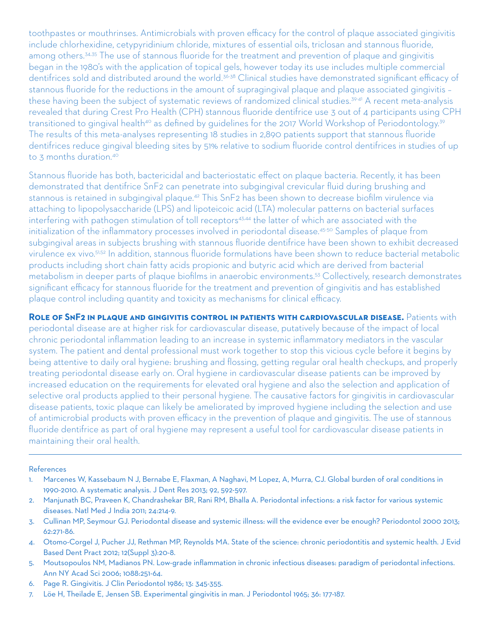toothpastes or mouthrinses. Antimicrobials with proven efficacy for the control of plaque associated gingivitis include chlorhexidine, cetypyridinium chloride, mixtures of essential oils, triclosan and stannous fluoride, among others.<sup>34,35</sup> The use of stannous fluoride for the treatment and prevention of plaque and gingivitis began in the 1980's with the application of topical gels, however today its use includes multiple commercial dentifrices sold and distributed around the world.<sup>36-38</sup> Clinical studies have demonstrated significant efficacy of stannous fluoride for the reductions in the amount of supragingival plaque and plaque associated gingivitis – these having been the subject of systematic reviews of randomized clinical studies.<sup>39-41</sup> A recent meta-analysis revealed that during Crest Pro Health (CPH) stannous fluoride dentifrice use 3 out of 4 participants using CPH transitioned to gingival health<sup>40</sup> as defined by guidelines for the 2017 World Workshop of Periodontology.<sup>39</sup> The results of this meta-analyses representing 18 studies in 2,890 patients support that stannous fluoride dentifrices reduce gingival bleeding sites by 51% relative to sodium fluoride control dentifrices in studies of up to 3 months duration.<sup>40</sup>

Stannous fluoride has both, bactericidal and bacteriostatic effect on plaque bacteria. Recently, it has been demonstrated that dentifrice SnF2 can penetrate into subgingival crevicular fluid during brushing and stannous is retained in subgingival plaque.42 This SnF2 has been shown to decrease biofilm virulence via attaching to lipopolysaccharide (LPS) and lipoteicoic acid (LTA) molecular patterns on bacterial surfaces interfering with pathogen stimulation of toll receptors<sup>43,44</sup> the latter of which are associated with the initialization of the inflammatory processes involved in periodontal disease.<sup>45-50</sup> Samples of plaque from subgingival areas in subjects brushing with stannous fluoride dentifrice have been shown to exhibit decreased virulence ex vivo.51,52 In addition, stannous fluoride formulations have been shown to reduce bacterial metabolic products including short chain fatty acids propionic and butyric acid which are derived from bacterial metabolism in deeper parts of plaque biofilms in anaerobic environments.53 Collectively, research demonstrates significant efficacy for stannous fluoride for the treatment and prevention of gingivitis and has established plaque control including quantity and toxicity as mechanisms for clinical efficacy.

**Role of SnF2 in plaque and gingivitis control in patients with cardiovascular disease.** Patients with periodontal disease are at higher risk for cardiovascular disease, putatively because of the impact of local chronic periodontal inflammation leading to an increase in systemic inflammatory mediators in the vascular system. The patient and dental professional must work together to stop this vicious cycle before it begins by being attentive to daily oral hygiene: brushing and flossing, getting regular oral health checkups, and properly treating periodontal disease early on. Oral hygiene in cardiovascular disease patients can be improved by increased education on the requirements for elevated oral hygiene and also the selection and application of selective oral products applied to their personal hygiene. The causative factors for gingivitis in cardiovascular disease patients, toxic plaque can likely be ameliorated by improved hygiene including the selection and use of antimicrobial products with proven efficacy in the prevention of plaque and gingivitis. The use of stannous fluoride dentifrice as part of oral hygiene may represent a useful tool for cardiovascular disease patients in maintaining their oral health.

## References

- 1. Marcenes W, Kassebaum N J, Bernabe E, Flaxman, A Naghavi, M Lopez, A, Murra, CJ. Global burden of oral conditions in 1990-2010. A systematic analysis. J Dent Res 2013; 92, 592-597.
- 2. Manjunath BC, Praveen K, Chandrashekar BR, Rani RM, Bhalla A. Periodontal infections: a risk factor for various systemic diseases. Natl Med J India 2011; 24:214-9.
- 3. Cullinan MP, Seymour GJ. Periodontal disease and systemic illness: will the evidence ever be enough? Periodontol 2000 2013; 62:271-86.
- 4. Otomo-Corgel J, Pucher JJ, Rethman MP, Reynolds MA. State of the science: chronic periodontitis and systemic health. J Evid Based Dent Pract 2012; 12(Suppl 3):20-8.
- 5. Moutsopoulos NM, Madianos PN. Low-grade inflammation in chronic infectious diseases: paradigm of periodontal infections. Ann NY Acad Sci 2006; 1088:251-64.
- 6. Page R. Gingivitis. J Clin Periodontol 1986; 13: 345-355.
- 7. Löe H, Theilade E, Jensen SB. Experimental gingivitis in man. J Periodontol 1965; 36: 177-187.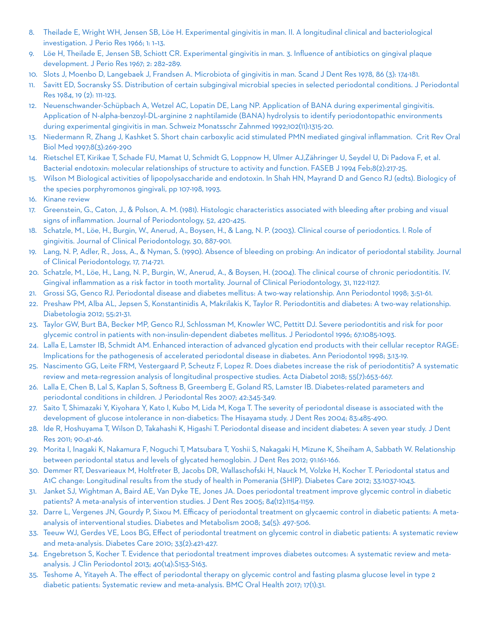- 8. Theilade E, Wright WH, Jensen SB, Löe H. Experimental gingivitis in man. II. A longitudinal clinical and bacteriological investigation. J Perio Res 1966; 1: 1–13.
- 9. Löe H, Theilade E, Jensen SB, Schiott CR. Experimental gingivitis in man. 3. Influence of antibiotics on gingival plaque development. J Perio Res 1967; 2: 282–289.
- 10. Slots J, Moenbo D, Langebaek J, Frandsen A. Microbiota of gingivitis in man. Scand J Dent Res 1978, 86 (3): 174-181.
- 11. Savitt ED, Socransky SS. Distribution of certain subgingival microbial species in selected periodontal conditions. J Periodontal Res 1984, 19 (2): 111-123.
- 12. Neuenschwander-Schüpbach A, Wetzel AC, Lopatin DE, Lang NP. Application of BANA during experimental gingivitis. Application of N-alpha-benzoyl-DL-arginine 2 naphtilamide (BANA) hydrolysis to identify periodontopathic environments during experimental gingivitis in man. Schweiz Monatsschr Zahnmed 1992;102(11):1315-20.
- 13. Niedermann R, Zhang J, Kashket S. Short chain carboxylic acid stimulated PMN mediated gingival inflammation. Crit Rev Oral Biol Med 1997;8(3):269-290
- 14. Rietschel ET, Kirikae T, Schade FU, Mamat U, Schmidt G, Loppnow H, Ulmer AJ,Zähringer U, Seydel U, Di Padova F, et al. Bacterial endotoxin: molecular relationships of structure to activity and function. FASEB J 1994 Feb;8(2):217-25.
- 15. Wilson M Biological activities of lipopolysaccharide and endotoxin. In Shah HN, Mayrand D and Genco RJ (edts). Biologicy of the species porphyromonos gingivali, pp 107-198, 1993.
- 16. Kinane review
- 17. Greenstein, G., Caton, J., & Polson, A. M. (1981). Histologic characteristics associated with bleeding after probing and visual signs of inflammation. Journal of Periodontology, 52, 420-425.
- 18. Schatzle, M., Löe, H., Burgin, W., Anerud, A., Boysen, H., & Lang, N. P. (2003). Clinical course of periodontics. I. Role of gingivitis. Journal of Clinical Periodontology, 30, 887-901.
- 19. Lang, N. P, Adler, R., Joss, A., & Nyman, S. (1990). Absence of bleeding on probing: An indicator of periodontal stability. Journal of Clinical Periodontology, 17, 714-721.
- 20. Schatzle, M., Löe, H., Lang, N. P., Burgin, W., Anerud, A., & Boysen, H. (2004). The clinical course of chronic periodontitis. IV. Gingival inflammation as a risk factor in tooth mortality. Journal of Clinical Periodontology, 31, 1122-1127.
- 21. Grossi SG, Genco RJ. Periodontal disease and diabetes mellitus: A two-way relationship. Ann Periodontol 1998; 3:51-61.
- 22. Preshaw PM, Alba AL, Jepsen S, Konstantinidis A, Makrilakis K, Taylor R. Periodontitis and diabetes: A two-way relationship. Diabetologia 2012; 55:21-31.
- 23. Taylor GW, Burt BA, Becker MP, Genco RJ, Schlossman M, Knowler WC, Pettitt DJ. Severe periodontitis and risk for poor glycemic control in patients with non-insulin-dependent diabetes mellitus. J Periodontol 1996; 67:1085-1093.
- 24. Lalla E, Lamster IB, Schmidt AM. Enhanced interaction of advanced glycation end products with their cellular receptor RAGE: Implications for the pathogenesis of accelerated periodontal disease in diabetes. Ann Periodontol 1998; 3:13-19.
- 25. Nascimento GG, Leite FRM, Vestergaard P, Scheutz F, Lopez R. Does diabetes increase the risk of periodontitis? A systematic review and meta-regression analysis of longitudinal prospective studies. Acta Diabetol 2018; 55(7):653-667.
- 26. Lalla E, Chen B, Lal S, Kaplan S, Softness B, Greemberg E, Goland RS, Lamster IB. Diabetes-related parameters and periodontal conditions in children. J Periodontal Res 2007; 42:345-349.
- 27. Saito T, Shimazaki Y, Kiyohara Y, Kato I, Kubo M, Lida M, Koga T. The severity of periodontal disease is associated with the development of glucose intolerance in non-diabetics: The Hisayama study. J Dent Res 2004; 83:485-490.
- 28. Ide R, Hoshuyama T, Wilson D, Takahashi K, Higashi T. Periodontal disease and incident diabetes: A seven year study. J Dent Res 2011; 90:41-46.
- 29. Morita I, Inagaki K, Nakamura F, Noguchi T, Matsubara T, Yoshii S, Nakagaki H, Mizune K, Sheiham A, Sabbath W. Relationship between periodontal status and levels of glycated hemoglobin. J Dent Res 2012; 91:161-166.
- 30. Demmer RT, Desvarieaux M, Holtfreter B, Jacobs DR, Wallaschofski H, Nauck M, Volzke H, Kocher T. Periodontal status and A1C change: Longitudinal results from the study of health in Pomerania (SHIP). Diabetes Care 2012; 33:1037-1043.
- 31. Janket SJ, Wightman A, Baird AE, Van Dyke TE, Jones JA. Does periodontal treatment improve glycemic control in diabetic patients? A meta-analysis of intervention studies. J Dent Res 2005; 84(12):1154-1159.
- 32. Darre L, Vergenes JN, Gourdy P, Sixou M. Efficacy of periodontal treatment on glycaemic control in diabetic patients: A metaanalysis of interventional studies. Diabetes and Metabolism 2008; 34(5): 497-506.
- 33. Teeuw WJ, Gerdes VE, Loos BG, Effect of periodontal treatment on glycemic control in diabetic patients: A systematic review and meta-analysis. Diabetes Care 2010; 33(2):421-427.
- 34. Engebretson S, Kocher T. Evidence that periodontal treatment improves diabetes outcomes: A systematic review and metaanalysis. J Clin Periodontol 2013; 40(14):S153-S163.
- 35. Teshome A, Yitayeh A. The effect of periodontal therapy on glycemic control and fasting plasma glucose level in type 2 diabetic patients: Systematic review and meta-analysis. BMC Oral Health 2017; 17(1):31.